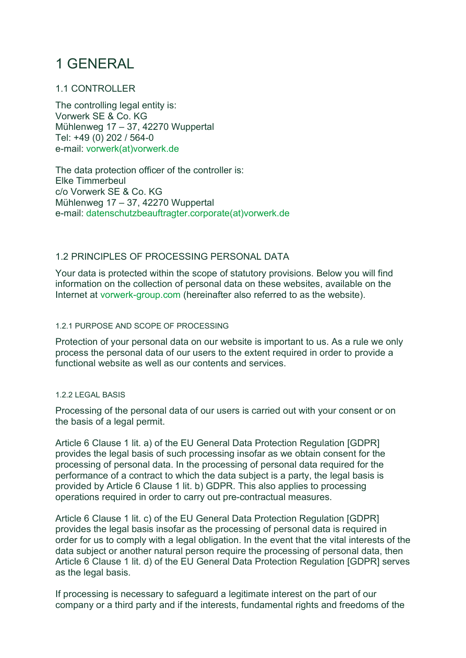# 1 GENERAL

# 1.1 CONTROLLER

The controlling legal entity is: Vorwerk SE & Co. KG Mühlenweg 17 – 37, 42270 Wuppertal Tel: +49 (0) 202 / 564-0 e-mail: vorwerk(at)vorwerk.de

The data protection officer of the controller is: Elke Timmerbeul c/o Vorwerk SE & Co. KG Mühlenweg 17 – 37, 42270 Wuppertal e-mail: datenschutzbeauftragter.corporate(at)vorwerk.de

# 1.2 PRINCIPLES OF PROCESSING PERSONAL DATA

Your data is protected within the scope of statutory provisions. Below you will find information on the collection of personal data on these websites, available on the Internet at vorwerk-group.com (hereinafter also referred to as the website).

### 1.2.1 PURPOSE AND SCOPE OF PROCESSING

Protection of your personal data on our website is important to us. As a rule we only process the personal data of our users to the extent required in order to provide a functional website as well as our contents and services.

### 1.2.2 LEGAL BASIS

Processing of the personal data of our users is carried out with your consent or on the basis of a legal permit.

Article 6 Clause 1 lit. a) of the EU General Data Protection Regulation [GDPR] provides the legal basis of such processing insofar as we obtain consent for the processing of personal data. In the processing of personal data required for the performance of a contract to which the data subject is a party, the legal basis is provided by Article 6 Clause 1 lit. b) GDPR. This also applies to processing operations required in order to carry out pre-contractual measures.

Article 6 Clause 1 lit. c) of the EU General Data Protection Regulation [GDPR] provides the legal basis insofar as the processing of personal data is required in order for us to comply with a legal obligation. In the event that the vital interests of the data subject or another natural person require the processing of personal data, then Article 6 Clause 1 lit. d) of the EU General Data Protection Regulation [GDPR] serves as the legal basis.

If processing is necessary to safeguard a legitimate interest on the part of our company or a third party and if the interests, fundamental rights and freedoms of the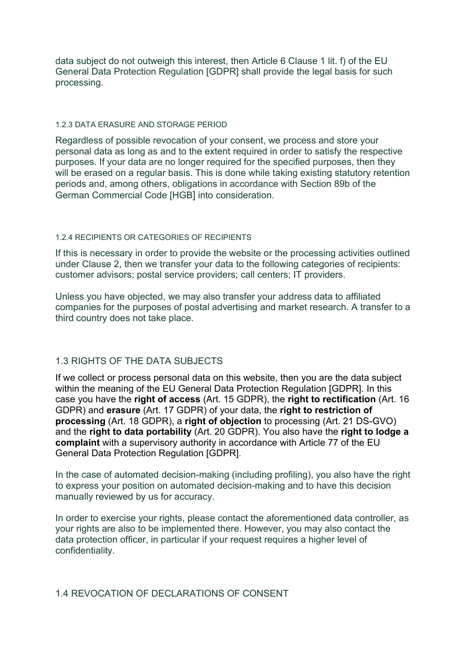data subject do not outweigh this interest, then Article 6 Clause 1 lit. f) of the EU General Data Protection Regulation [GDPR] shall provide the legal basis for such processing.

### 1.2.3 DATA ERASURE AND STORAGE PERIOD

Regardless of possible revocation of your consent, we process and store your personal data as long as and to the extent required in order to satisfy the respective purposes. If your data are no longer required for the specified purposes, then they will be erased on a regular basis. This is done while taking existing statutory retention periods and, among others, obligations in accordance with Section 89b of the German Commercial Code [HGB] into consideration.

### 1.2.4 RECIPIENTS OR CATEGORIES OF RECIPIENTS

If this is necessary in order to provide the website or the processing activities outlined under Clause 2, then we transfer your data to the following categories of recipients: customer advisors; postal service providers; call centers; IT providers.

Unless you have objected, we may also transfer your address data to affiliated companies for the purposes of postal advertising and market research. A transfer to a third country does not take place.

# 1.3 RIGHTS OF THE DATA SUBJECTS

If we collect or process personal data on this website, then you are the data subject within the meaning of the EU General Data Protection Regulation [GDPR]. In this case you have the right of access (Art. 15 GDPR), the right to rectification (Art. 16 GDPR) and erasure (Art. 17 GDPR) of your data, the right to restriction of processing (Art. 18 GDPR), a right of objection to processing (Art. 21 DS-GVO) and the right to data portability (Art. 20 GDPR). You also have the right to lodge a complaint with a supervisory authority in accordance with Article 77 of the EU General Data Protection Regulation [GDPR].

In the case of automated decision-making (including profiling), you also have the right to express your position on automated decision-making and to have this decision manually reviewed by us for accuracy.

In order to exercise your rights, please contact the aforementioned data controller, as your rights are also to be implemented there. However, you may also contact the data protection officer, in particular if your request requires a higher level of confidentiality.

## 1.4 REVOCATION OF DECLARATIONS OF CONSENT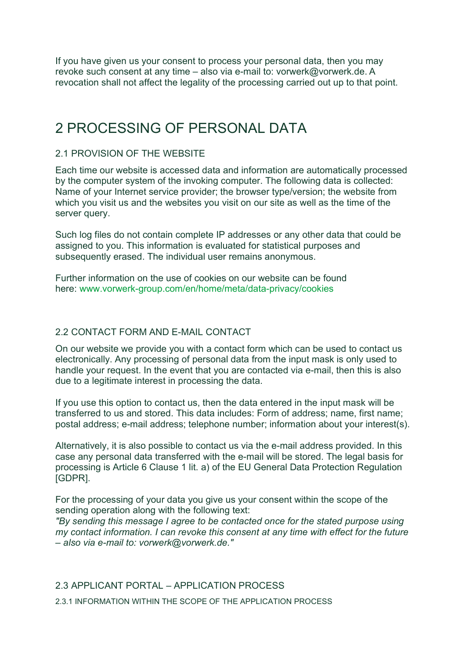If you have given us your consent to process your personal data, then you may revoke such consent at any time – also via e-mail to: vorwerk@vorwerk.de. A revocation shall not affect the legality of the processing carried out up to that point.

# 2 PROCESSING OF PERSONAL DATA

## 2.1 PROVISION OF THE WEBSITE

Each time our website is accessed data and information are automatically processed by the computer system of the invoking computer. The following data is collected: Name of your Internet service provider; the browser type/version; the website from which you visit us and the websites you visit on our site as well as the time of the server query.

Such log files do not contain complete IP addresses or any other data that could be assigned to you. This information is evaluated for statistical purposes and subsequently erased. The individual user remains anonymous.

Further information on the use of cookies on our website can be found here: www.vorwerk-group.com/en/home/meta/data-privacy/cookies

## 2.2 CONTACT FORM AND E-MAIL CONTACT

On our website we provide you with a contact form which can be used to contact us electronically. Any processing of personal data from the input mask is only used to handle your request. In the event that you are contacted via e-mail, then this is also due to a legitimate interest in processing the data.

If you use this option to contact us, then the data entered in the input mask will be transferred to us and stored. This data includes: Form of address; name, first name; postal address; e-mail address; telephone number; information about your interest(s).

Alternatively, it is also possible to contact us via the e-mail address provided. In this case any personal data transferred with the e-mail will be stored. The legal basis for processing is Article 6 Clause 1 lit. a) of the EU General Data Protection Regulation [GDPR].

For the processing of your data you give us your consent within the scope of the sending operation along with the following text:

"By sending this message I agree to be contacted once for the stated purpose using my contact information. I can revoke this consent at any time with effect for the future – also via e-mail to: vorwerk@vorwerk.de."

## 2.3 APPLICANT PORTAL – APPLICATION PROCESS

2.3.1 INFORMATION WITHIN THE SCOPE OF THE APPLICATION PROCESS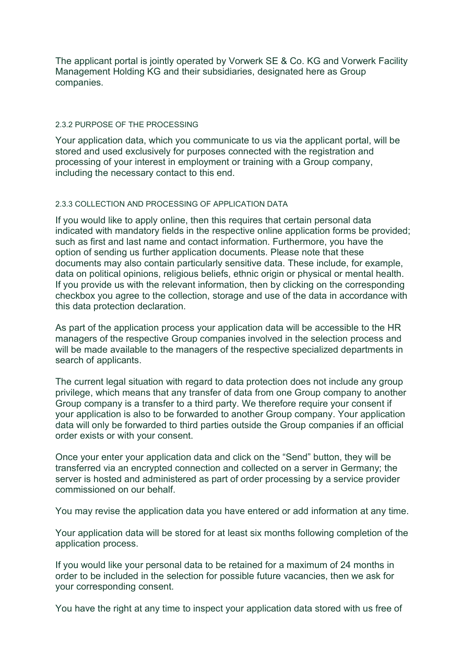The applicant portal is jointly operated by Vorwerk SE & Co. KG and Vorwerk Facility Management Holding KG and their subsidiaries, designated here as Group companies.

### 2.3.2 PURPOSE OF THE PROCESSING

Your application data, which you communicate to us via the applicant portal, will be stored and used exclusively for purposes connected with the registration and processing of your interest in employment or training with a Group company, including the necessary contact to this end.

### 2.3.3 COLLECTION AND PROCESSING OF APPLICATION DATA

If you would like to apply online, then this requires that certain personal data indicated with mandatory fields in the respective online application forms be provided; such as first and last name and contact information. Furthermore, you have the option of sending us further application documents. Please note that these documents may also contain particularly sensitive data. These include, for example, data on political opinions, religious beliefs, ethnic origin or physical or mental health. If you provide us with the relevant information, then by clicking on the corresponding checkbox you agree to the collection, storage and use of the data in accordance with this data protection declaration.

As part of the application process your application data will be accessible to the HR managers of the respective Group companies involved in the selection process and will be made available to the managers of the respective specialized departments in search of applicants.

The current legal situation with regard to data protection does not include any group privilege, which means that any transfer of data from one Group company to another Group company is a transfer to a third party. We therefore require your consent if your application is also to be forwarded to another Group company. Your application data will only be forwarded to third parties outside the Group companies if an official order exists or with your consent.

Once your enter your application data and click on the "Send" button, they will be transferred via an encrypted connection and collected on a server in Germany; the server is hosted and administered as part of order processing by a service provider commissioned on our behalf.

You may revise the application data you have entered or add information at any time.

Your application data will be stored for at least six months following completion of the application process.

If you would like your personal data to be retained for a maximum of 24 months in order to be included in the selection for possible future vacancies, then we ask for your corresponding consent.

You have the right at any time to inspect your application data stored with us free of